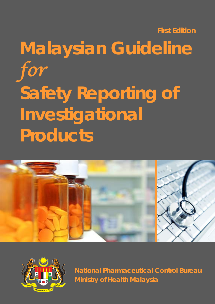**First Edition**

# **Malaysian Guideline**  *for*  **Safety Reporting of Investigational Products**





**National Pharmaceutical Control Bureau Ministry of Health Malaysia**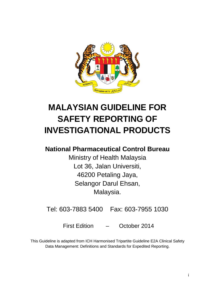

## **MALAYSIAN GUIDELINE FOR SAFETY REPORTING OF INVESTIGATIONAL PRODUCTS**

## **National Pharmaceutical Control Bureau**

Ministry of Health Malaysia Lot 36, Jalan Universiti, 46200 Petaling Jaya, Selangor Darul Ehsan, Malaysia.

Tel: 603-7883 5400 Fax: 603-7955 1030

First Edition – October 2014

This Guideline is adapted from ICH Harmonised Tripartite Guideline E2A Clinical Safety Data Management: Definitions and Standards for Expedited Reporting.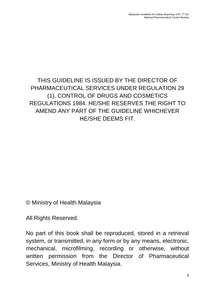## THIS GUIDELINE IS ISSUED BY THE DIRECTOR OF PHARMACEUTICAL SERVICES UNDER REGULATION 29 (1), CONTROL OF DRUGS AND COSMETICS REGULATIONS 1984. HE/SHE RESERVES THE RIGHT TO AMEND ANY PART OF THE GUIDELINE WHICHEVER HE/SHE DEEMS FIT.

## © Ministry of Health Malaysia

All Rights Reserved.

No part of this book shall be reproduced, stored in a retrieval system, or transmitted, in any form or by any means, electronic, mechanical, microfilming, recording or otherwise, without written permission from the Director of Pharmaceutical Services, Ministry of Health Malaysia.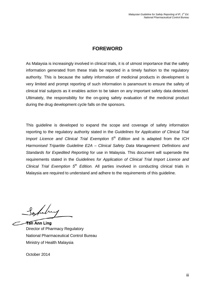#### **FOREWORD**

As Malaysia is increasingly involved in clinical trials, it is of utmost importance that the safety information generated from these trials be reported in a timely fashion to the regulatory authority. This is because the safety information of medicinal products in development is very limited and prompt reporting of such information is paramount to ensure the safety of clinical trial subjects as it enables action to be taken on any important safety data detected. Ultimately, the responsibility for the on-going safety evaluation of the medicinal product during the drug development cycle falls on the sponsors.

This guideline is developed to expand the scope and coverage of safety information reporting to the regulatory authority stated in the *Guidelines for Application of Clinical Trial Import Licence and Clinical Trial Exemption 5th Edition* and is adapted from the *ICH Harmonised Tripartite Guideline E2A – Clinical Safety Data Management: Definitions and Standards for Expedited Reporting* for use in Malaysia. This document will supersede the requirements stated in the *Guidelines for Application of Clinical Trial Import Licence and Clinical Trial Exemption 5th Edition.* All parties involved in conducting clinical trials in Malaysia are required to understand and adhere to the requirements of this guideline.

Sayful

**Tan Ann Ling** Director of Pharmacy Regulatory National Pharmaceutical Control Bureau Ministry of Health Malaysia

October 2014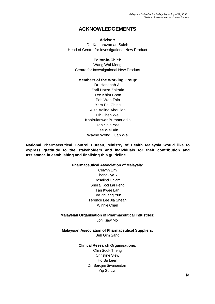#### **ACKNOWLEDGEMENTS**

#### **Advisor:**

Dr. Kamaruzaman Saleh Head of Centre for Investigational New Product

#### **Editor-in-Chief:**

Wang Wai Meng Centre for Investigational New Product

#### **Members of the Working Group:**

Dr. Hasenah Ali Zaril Harza Zakaria Tee Khim Boon Poh Wen Tsin Yam Pei Ching Aiza Adlina Abdullah Oh Chen Wei Khairulanwar Burhanuddin Tan Shin Yee Lee Wei Xin Wayne Wong Guan Wei

**National Pharmaceutical Control Bureau, Ministry of Health Malaysia would like to express gratitude to the stakeholders and individuals for their contribution and assistance in establishing and finalising this guideline.** 

#### **Pharmaceutical Association of Malaysia:**

Celynn Lim Chong Jye Yi Rosalind Chiam Sheila Kooi Lai Peng Tan Kwee Lan Tee Zhuang Yun Terence Lee Jia Shean Winnie Chan

**Malaysian Organisation of Pharmaceutical Industries:** Loh Kiaw Moi

**Malaysian Association of Pharmaceutical Suppliers:** Beh Gim Sang

#### **Clinical Research Organisations:**

Chin Sook Theng Christine Siew Ho Su Leen Dr. Sarojini Sivanandam Yip Su Lyn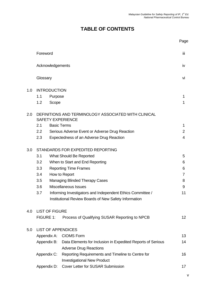## **TABLE OF CONTENTS**

|     |                           |                                                                                                                          | Page           |
|-----|---------------------------|--------------------------------------------------------------------------------------------------------------------------|----------------|
|     | Foreword                  |                                                                                                                          | Ϊij            |
|     | Acknowledgements          |                                                                                                                          | iv             |
|     | Glossary                  |                                                                                                                          | vi             |
| 1.0 | <b>INTRODUCTION</b>       |                                                                                                                          |                |
|     | 1.1<br>Purpose            |                                                                                                                          | 1              |
|     | 1.2<br>Scope              |                                                                                                                          | 1              |
| 2.0 | <b>SAFETY EXPERIENCE</b>  | DEFINITIONS AND TERMINOLOGY ASSOCIATED WITH CLINICAL                                                                     |                |
|     | 2.1                       | <b>Basic Terms</b>                                                                                                       | 1              |
|     | 2.2                       | Serious Adverse Event or Adverse Drug Reaction                                                                           | $\overline{2}$ |
|     | 2.3                       | Expectedness of an Adverse Drug Reaction                                                                                 | $\overline{4}$ |
| 3.0 |                           | STANDARDS FOR EXPEDITED REPORTING                                                                                        |                |
|     | 3.1                       | What Should Be Reported                                                                                                  | 5              |
|     | 3.2                       | When to Start and End Reporting                                                                                          | 6              |
|     | 3.3                       | <b>Reporting Time Frames</b>                                                                                             | 6              |
|     | 3.4                       | How to Report                                                                                                            | $\overline{7}$ |
|     | 3.5                       | <b>Managing Blinded Therapy Cases</b>                                                                                    | 8              |
|     | 3.6                       | <b>Miscellaneous Issues</b>                                                                                              | 9              |
|     | 3.7                       | Informing Investigators and Independent Ethics Committee /                                                               | 11             |
|     |                           | Institutional Review Boards of New Safety Information                                                                    |                |
| 4.0 | <b>LIST OF FIGURE</b>     |                                                                                                                          |                |
|     | FIGURE 1:                 | Process of Qualifying SUSAR Reporting to NPCB                                                                            | 12             |
| 5.0 | <b>LIST OF APPENDICES</b> |                                                                                                                          |                |
|     | Appendix A:               | <b>CIOMS Form</b>                                                                                                        | 13             |
|     | Appendix B:               | Data Elements for Inclusion in Expedited Reports of Serious                                                              | 14             |
|     | Appendix C:               | <b>Adverse Drug Reactions</b><br>Reporting Requirements and Timeline to Centre for<br><b>Investigational New Product</b> | 16             |
|     | Appendix D:               | <b>Cover Letter for SUSAR Submission</b>                                                                                 | 17             |
|     |                           |                                                                                                                          |                |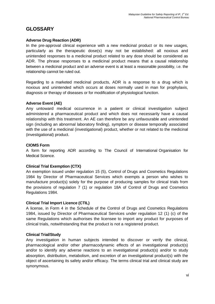### **GLOSSARY**

#### **Adverse Drug Reaction (ADR)**

In the pre-approval clinical experience with a new medicinal product or its new usages, particularly as the therapeutic dose(s) may not be established: all noxious and unintended responses to a medicinal product related to any dose should be considered as ADR. The phrase responses to a medicinal product means that a causal relationship between a medicinal product and an adverse event is at least a reasonable possibility, i.e. the relationship cannot be ruled out.

Regarding to a marketed medicinal products, ADR is a response to a drug which is noxious and unintended which occurs at doses normally used in man for prophylaxis, diagnosis or therapy of diseases or for modification of physiological function.

#### **Adverse Event (AE)**

Any untoward medical occurrence in a patient or clinical investigation subject administered a pharmaceutical product and which does not necessarily have a causal relationship with this treatment. An AE can therefore be any unfavourable and unintended sign (including an abnormal laboratory finding), symptom or disease temporally associated with the use of a medicinal (investigational) product, whether or not related to the medicinal (investigational) product.

#### **CIOMS Form**

A form for reporting ADR according to The Council of International Organisation for Medical Science.

#### **Clinical Trial Exemption (CTX)**

An exemption issued under regulation 15 (5), Control of Drugs and Cosmetics Regulations 1984 by Director of Pharmaceutical Services which exempts a person who wishes to manufacture product(s) solely for the purpose of producing samples for clinical trials from the provisions of regulation 7 (1) or regulation 18A of Control of Drugs and Cosmetics Regulations 1984.

#### **Clinical Trial Import Licence (CTIL)**

A license, in Form 4 in the Schedule of the Control of Drugs and Cosmetics Regulations 1984, issued by Director of Pharmaceutical Services under regulation 12 (1) (c) of the same Regulations which authorises the licensee to import any product for purposes of clinical trials, notwithstanding that the product is not a registered product.

#### **Clinical Trial/Study**

Any investigation in human subjects intended to discover or verify the clinical, pharmacological and/or other pharmacodynamic effects of an investigational product(s) and/or to identify any adverse reactions to an investigational product(s) and/or to study absorption, distribution, metabolism, and excretion of an investigational product(s) with the object of ascertaining its safety and/or efficacy. The terms clinical trial and clinical study are synonymous.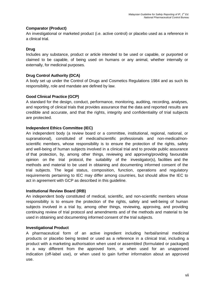#### **Comparator (Product)**

An investigational or marketed product (i.e. active control) or placebo used as a reference in a clinical trial.

#### **Drug**

Includes any substance, product or article intended to be used or capable, or purported or claimed to be capable, of being used on humans or any animal, whether internally or externally, for medicinal purposes.

#### **Drug Control Authority (DCA)**

A body set up under the Control of Drugs and Cosmetics Regulations 1984 and as such its responsibility, role and mandate are defined by law.

#### **Good Clinical Practice (GCP)**

A standard for the design, conduct, performance, monitoring, auditing, recording, analyses, and reporting of clinical trials that provides assurance that the data and reported results are credible and accurate, and that the rights, integrity and confidentiality of trial subjects are protected.

#### **Independent Ethics Committee (IEC)**

An independent body (a review board or a committee, institutional, regional, national, or supranational), constituted of medical/scientific professionals and non-medical/nonscientific members, whose responsibility is to ensure the protection of the rights, safety and well-being of human subjects involved in a clinical trial and to provide public assurance of that protection, by, among other things, reviewing and approving/providing favourable opinion on the trial protocol, the suitability of the investigator(s), facilities and the methods and material to be used in obtaining and documenting informed consent of the trial subjects. The legal status, composition, function, operations and regulatory requirements pertaining to IEC may differ among countries, but should allow the IEC to act in agreement with GCP as described in this guideline.

#### **Institutional Review Board (IRB)**

An independent body constituted of medical, scientific, and non-scientific members whose responsibility is to ensure the protection of the rights, safety and well-being of human subjects involved in a trial by, among other things, reviewing, approving, and providing continuing review of trial protocol and amendments and of the methods and material to be used in obtaining and documenting informed consent of the trial subjects.

#### **Investigational Product**

A pharmaceutical form of an active ingredient including herbal/animal medicinal products or placebo being tested or used as a reference in a clinical trial, including a product with a marketing authorisation when used or assembled (formulated or packaged) in a way different from the approved form, or when used for an unapproved indication (off-label use), or when used to gain further information about an approved use.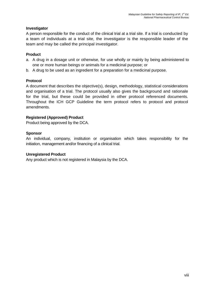#### **Investigator**

A person responsible for the conduct of the clinical trial at a trial site. If a trial is conducted by a team of individuals at a trial site, the investigator is the responsible leader of the team and may be called the principal investigator.

#### **Product**

- a. A drug in a dosage unit or otherwise, for use wholly or mainly by being administered to one or more human beings or animals for a medicinal purpose; or
- b. A drug to be used as an ingredient for a preparation for a medicinal purpose.

#### **Protocol**

A document that describes the objective(s), design, methodology, statistical considerations and organisation of a trial. The protocol usually also gives the background and rationale for the trial, but these could be provided in other protocol referenced documents. Throughout the ICH GCP Guideline the term protocol refers to protocol and protocol amendments.

#### **Registered (Approved) Product**

Product being approved by the DCA.

#### **Sponsor**

An individual, company, institution or organisation which takes responsibility for the initiation, management and/or financing of a clinical trial.

#### **Unregistered Product**

Any product which is not registered in Malaysia by the DCA.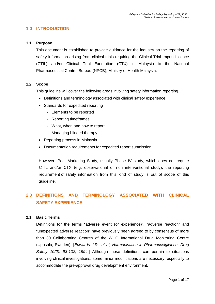#### **1.0 INTRODUCTION**

#### **1.1 Purpose**

This document is established to provide guidance for the industry on the reporting of safety information arising from clinical trials requiring the Clinical Trial Import Licence (CTIL) and/or Clinical Trial Exemption (CTX) in Malaysia to the National Pharmaceutical Control Bureau (NPCB), Ministry of Health Malaysia.

#### **1.2 Scope**

This guideline will cover the following areas involving safety information reporting.

- Definitions and terminology associated with clinical safety experience
- Standards for expedited reporting
	- Elements to be reported
	- Reporting timeframes
	- What, when and how to report
	- Managing blinded therapy
- Reporting process in Malaysia
- Documentation requirements for expedited report submission

However, Post Marketing Study, usually Phase IV study, which does not require CTIL and/or CTX (e.g. observational or non interventional study), the reporting requirement of safety information from this kind of study is out of scope of this guideline.

#### **2.0 DEFINITIONS AND TERMINOLOGY ASSOCIATED WITH CLINICAL SAFETY EXPERIENCE**

#### **2.1 Basic Terms**

Definitions for the terms "adverse event (or experience)", "adverse reaction" and "unexpected adverse reaction" have previously been agreed to by consensus of more than 30 Collaborating Centres of the WHO International Drug Monitoring Centre (Uppsala, Sweden). [*Edwards, I.R., et al, Harmonisation in Pharmacovigilance. Drug Safety 10(2): 93-102, 1994*.] Although those definitions can pertain to situations involving clinical investigations, some minor modifications are necessary, especially to accommodate the pre-approval drug development environment.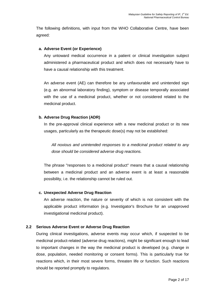The following definitions, with input from the WHO Collaborative Centre, have been agreed:

#### **a. Adverse Event (or Experience)**

Any untoward medical occurrence in a patient or clinical investigation subject administered a pharmaceutical product and which does not necessarily have to have a causal relationship with this treatment.

An adverse event (AE) can therefore be any unfavourable and unintended sign (e.g. an abnormal laboratory finding), symptom or disease temporally associated with the use of a medicinal product, whether or not considered related to the medicinal product.

#### **b. Adverse Drug Reaction (ADR)**

In the pre-approval clinical experience with a new medicinal product or its new usages, particularly as the therapeutic dose(s) may not be established:

*All noxious and unintended responses to a medicinal product related to any dose should be considered adverse drug reactions.*

The phrase "responses to a medicinal product" means that a causal relationship between a medicinal product and an adverse event is at least a reasonable possibility, i.e. the relationship cannot be ruled out.

#### **c. Unexpected Adverse Drug Reaction**

An adverse reaction, the nature or severity of which is not consistent with the applicable product information (e.g. Investigator's Brochure for an unapproved investigational medicinal product).

#### **2.2 Serious Adverse Event or Adverse Drug Reaction**

During clinical investigations, adverse events may occur which, if suspected to be medicinal product-related (adverse drug reactions), might be significant enough to lead to important changes in the way the medicinal product is developed (e.g. change in dose, population, needed monitoring or consent forms). This is particularly true for reactions which, in their most severe forms, threaten life or function. Such reactions should be reported promptly to regulators.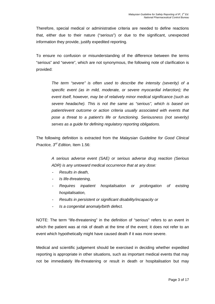Therefore, special medical or administrative criteria are needed to define reactions that, either due to their nature ("serious") or due to the significant, unexpected information they provide, justify expedited reporting.

To ensure no confusion or misunderstanding of the difference between the terms "serious" and "severe", which are not synonymous, the following note of clarification is provided:

*The term "severe" is often used to describe the intensity (severity) of a specific event (as in mild, moderate, or severe myocardial infarction); the event itself, however, may be of relatively minor medical significance (such as severe headache). This is not the same as "serious", which is based on patient/event outcome or action criteria usually associated with events that pose a threat to a patient's life or functioning. Seriousness (not severity) serves as a guide for defining regulatory reporting obligations.*

The following definition is extracted from the *Malaysian Guideline for Good Clinical Practice, 3rd Edition,* Item 1.56:

*A serious adverse event (SAE) or serious adverse drug reaction (Serious ADR) is any untoward medical occurrence that at any dose:*

- *Results in death,*
- *Is life-threatening,*
- *Requires inpatient hospitalisation or prolongation of existing hospitalisation,*
- *Results in persistent or significant disability/incapacity or*
- *Is a congenital anomaly/birth defect.*

NOTE: The term "life-threatening" in the definition of "serious" refers to an event in which the patient was at risk of death at the time of the event; it does not refer to an event which hypothetically might have caused death if it was more severe.

Medical and scientific judgement should be exercised in deciding whether expedited reporting is appropriate in other situations, such as important medical events that may not be immediately life-threatening or result in death or hospitalisation but may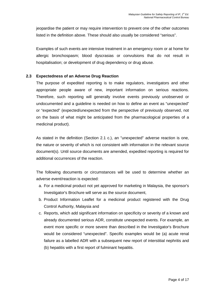jeopardise the patient or may require intervention to prevent one of the other outcomes listed in the definition above. These should also usually be considered "serious".

Examples of such events are intensive treatment in an emergency room or at home for allergic bronchospasm; blood dyscrasias or convulsions that do not result in hospitalisation; or development of drug dependency or drug abuse.

#### **2.3 Expectedness of an Adverse Drug Reaction**

The purpose of expedited reporting is to make regulators, investigators and other appropriate people aware of new, important information on serious reactions. Therefore, such reporting will generally involve events previously unobserved or undocumented and a guideline is needed on how to define an event as "unexpected" or "expected" (expected/unexpected from the perspective of previously observed, not on the basis of what might be anticipated from the pharmacological properties of a medicinal product).

As stated in the definition (Section 2.1 c.), an "unexpected" adverse reaction is one, the nature or severity of which is not consistent with information in the relevant source document(s). Until source documents are amended, expedited reporting is required for additional occurrences of the reaction.

The following documents or circumstances will be used to determine whether an adverse event/reaction is expected:

- a. For a medicinal product not yet approved for marketing in Malaysia, the sponsor's Investigator's Brochure will serve as the source document,
- b. Product Information Leaflet for a medicinal product registered with the Drug Control Authority, Malaysia and
- c. Reports, which add significant information on specificity or severity of a known and already documented serious ADR, constitute unexpected events. For example, an event more specific or more severe than described in the Investigator's Brochure would be considered "unexpected". Specific examples would be (a) acute renal failure as a labelled ADR with a subsequent new report of interstitial nephritis and (b) hepatitis with a first report of fulminant hepatitis.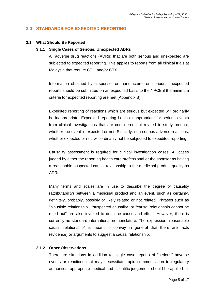#### **3.0 STANDARDS FOR EXPEDITED REPORTING**

#### **3.1 What Should Be Reported**

#### **3.1.1 Single Cases of Serious, Unexpected ADRs**

All adverse drug reactions (ADRs) that are both serious and unexpected are subjected to expedited reporting. This applies to reports from all clinical trials at Malaysia that require CTIL and/or CTX.

Information obtained by a sponsor or manufacturer on serious, unexpected reports should be submitted on an expedited basis to the NPCB if the minimum criteria for expedited reporting are met (Appendix B).

Expedited reporting of reactions which are serious but expected will ordinarily be inappropriate. Expedited reporting is also inappropriate for serious events from clinical investigations that are considered not related to study product, whether the event is expected or not. Similarly, non-serious adverse reactions, whether expected or not, will ordinarily not be subjected to expedited reporting.

Causality assessment is required for clinical investigation cases. All cases judged by either the reporting health care professional or the sponsor as having a reasonable suspected causal relationship to the medicinal product qualify as ADRs.

Many terms and scales are in use to describe the degree of causality (attributability) between a medicinal product and an event, such as certainly, definitely, probably, possibly or likely related or not related. Phrases such as "plausible relationship", "suspected causality" or "causal relationship cannot be ruled out" are also invoked to describe cause and effect. However, there is currently no standard international nomenclature. The expression "reasonable causal relationship" is meant to convey in general that there are facts (evidence) or arguments to suggest a causal relationship.

#### **3.1.2 Other Observations**

There are situations in addition to single case reports of "serious" adverse events or reactions that may necessitate rapid communication to regulatory authorities; appropriate medical and scientific judgement should be applied for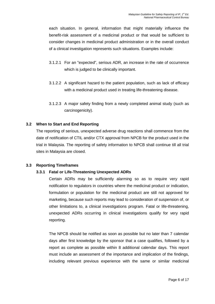each situation. In general, information that might materially influence the benefit-risk assessment of a medicinal product or that would be sufficient to consider changes in medicinal product administration or in the overall conduct of a clinical investigation represents such situations. Examples include:

- 3.1.2.1 For an "expected", serious ADR, an increase in the rate of occurrence which is judged to be clinically important.
- 3.1.2.2 A significant hazard to the patient population, such as lack of efficacy with a medicinal product used in treating life-threatening disease.
- 3.1.2.3 A major safety finding from a newly completed animal study (such as carcinogenicity).

#### **3.2 When to Start and End Reporting**

The reporting of serious, unexpected adverse drug reactions shall commence from the date of notification of CTIL and/or CTX approval from NPCB for the product used in the trial in Malaysia. The reporting of safety information to NPCB shall continue till all trial sites in Malaysia are closed.

#### **3.3 Reporting Timeframes**

#### **3.3.1 Fatal or Life-Threatening Unexpected ADRs**

Certain ADRs may be sufficiently alarming so as to require very rapid notification to regulators in countries where the medicinal product or indication, formulation or population for the medicinal product are still not approved for marketing, because such reports may lead to consideration of suspension of, or other limitations to, a clinical investigations program. Fatal or life-threatening, unexpected ADRs occurring in clinical investigations qualify for very rapid reporting.

The NPCB should be notified as soon as possible but no later than 7 calendar days after first knowledge by the sponsor that a case qualifies, followed by a report as complete as possible within 8 additional calendar days. This report must include an assessment of the importance and implication of the findings, including relevant previous experience with the same or similar medicinal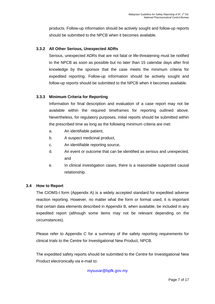products. Follow-up information should be actively sought and follow-up reports should be submitted to the NPCB when it becomes available.

#### **3.3.2 All Other Serious, Unexpected ADRs**

Serious, unexpected ADRs that are not fatal or life-threatening must be notified to the NPCB as soon as possible but no later than 15 calendar days after first knowledge by the sponsor that the case meets the minimum criteria for expedited reporting. Follow-up information should be actively sought and follow-up reports should be submitted to the NPCB when it becomes available.

#### **3.3.3 Minimum Criteria for Reporting**

Information for final description and evaluation of a case report may not be available within the required timeframes for reporting outlined above. Nevertheless, for regulatory purposes, initial reports should be submitted within the prescribed time as long as the following minimum criteria are met:

- a. An identifiable patient,
- b. A suspect medicinal product,
- c. An identifiable reporting source,
- d. An event or outcome that can be identified as serious and unexpected, and
- e. In clinical investigation cases, there is a reasonable suspected causal relationship.

#### **3.4 How to Report**

The CIOMS-I form (Appendix A) is a widely accepted standard for expedited adverse reaction reporting. However, no matter what the form or format used, it is important that certain data elements described in Appendix B, when available, be included in any expedited report (although some items may not be relevant depending on the circumstances).

Please refer to Appendix C for a summary of the safety reporting requirements for clinical trials to the Centre for Investigational New Product, NPCB.

The expedited safety reports should be submitted to the Centre for Investigational New Product electronically via e-mail to:

[mysusar@bpfk.gov.my](mailto:mysusar@bpfk.gov.my)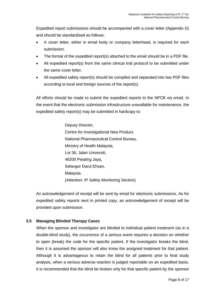Expedited report submissions should be accompanied with a cover letter (Appendix D) and should be standardised as follows:

- A cover letter, either in email body or company letterhead, is required for each submission.
- The format of the expedited report(s) attached to the email should be in a PDF file.
- All expedited report(s) from the same clinical trial protocol to be submitted under the same cover letter.
- All expedited safety report(s) should be compiled and separated into two PDF files according to local and foreign sources of the report(s).

All efforts should be made to submit the expedited reports to the NPCB via email. In the event that the electronic submission infrastructure unavailable for maintenance, the expedited safety report(s) may be submitted in hardcopy to:

> Deputy Director, Centre for Investigational New Product, National Pharmaceutical Control Bureau, Ministry of Health Malaysia, Lot 36, Jalan Universiti, 46200 Petaling Jaya, Selangor Darul Ehsan, Malaysia. (Attention: IP Safety Monitoring Section)

An acknowledgement of receipt will be sent by email for electronic submissions. As for expedited safety reports sent in printed copy, an acknowledgement of receipt will be provided upon submission.

#### **3.5 Managing Blinded Therapy Cases**

When the sponsor and investigator are blinded to individual patient treatment (as in a double-blind study), the occurrence of a serious event requires a decision on whether to open (break) the code for the specific patient. If the investigator breaks the blind, then it is assumed the sponsor will also know the assigned treatment for that patient. Although it is advantageous to retain the blind for all patients prior to final study analysis, when a serious adverse reaction is judged reportable on an expedited basis, it is recommended that the blind be broken only for that specific patient by the sponsor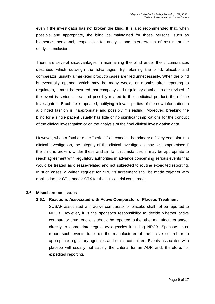even if the investigator has not broken the blind. It is also recommended that, when possible and appropriate, the blind be maintained for those persons, such as biometrics personnel, responsible for analysis and interpretation of results at the study's conclusion.

There are several disadvantages in maintaining the blind under the circumstances described which outweigh the advantages. By retaining the blind, placebo and comparator (usually a marketed product) cases are filed unnecessarily. When the blind is eventually opened, which may be many weeks or months after reporting to regulators, it must be ensured that company and regulatory databases are revised. If the event is serious, new and possibly related to the medicinal product, then if the Investigator's Brochure is updated, notifying relevant parties of the new information in a blinded fashion is inappropriate and possibly misleading. Moreover, breaking the blind for a single patient usually has little or no significant implications for the conduct of the clinical investigation or on the analysis of the final clinical investigation data.

However, when a fatal or other "serious" outcome is the primary efficacy endpoint in a clinical investigation, the integrity of the clinical investigation may be compromised if the blind is broken. Under these and similar circumstances, it may be appropriate to reach agreement with regulatory authorities in advance concerning serious events that would be treated as disease-related and not subjected to routine expedited reporting. In such cases, a written request for NPCB's agreement shall be made together with application for CTIL and/or CTX for the clinical trial concerned.

#### **3.6 Miscellaneous Issues**

#### **3.6.1 Reactions Associated with Active Comparator or Placebo Treatment**

SUSAR associated with active comparator or placebo shall not be reported to NPCB. However, it is the sponsor's responsibility to decide whether active comparator drug reactions should be reported to the other manufacturer and/or directly to appropriate regulatory agencies including NPCB. Sponsors must report such events to either the manufacturer of the active control or to appropriate regulatory agencies and ethics committee. Events associated with placebo will usually not satisfy the criteria for an ADR and, therefore, for expedited reporting.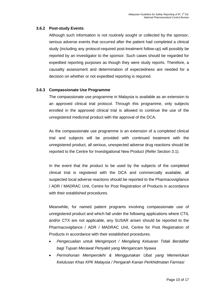#### **3.6.2 Post-study Events**

Although such information is not routinely sought or collected by the sponsor, serious adverse events that occurred after the patient had completed a clinical study (including any protocol-required post-treatment follow-up) will possibly be reported by an investigator to the sponsor. Such cases should be regarded for expedited reporting purposes as though they were study reports. Therefore, a causality assessment and determination of expectedness are needed for a decision on whether or not expedited reporting is required.

#### **3.6.3 Compassionate Use Programme**

The compassionate use programme in Malaysia is available as an extension to an approved clinical trial protocol. Through this programme, only subjects enrolled in the approved clinical trial is allowed to continue the use of the unregistered medicinal product with the approval of the DCA.

As the compassionate use programme is an extension of a completed clinical trial and subjects will be provided with continued treatment with the unregistered product, all serious, unexpected adverse drug reactions should be reported to the Centre for Investigational New Product (Refer Section 3.1).

In the event that the product to be used by the subjects of the completed clinical trial is registered with the DCA and commercially available, all suspected local adverse reactions should be reported to the Pharmacovigilance / ADR / MADRAC Unit, Centre for Post Registration of Products in accordance with their established procedures.

Meanwhile, for named patient programs involving compassionate use of unregistered product and which fall under the following applications where CTIL and/or CTX are not applicable, any SUSAR arisen should be reported to the Pharmacovigilance / ADR / MADRAC Unit, Centre for Post Registration of Products in accordance with their established procedures.

- *Pengecualian untuk Mengimport / Mengilang Keluaran Tidak Berdaftar bagi Tujuan Merawat Penyakit yang Mengancam Nyawa*
- *Permohonan Memperolehi & Menggunakan Ubat yang Memerlukan Kelulusan Khas KPK Malaysia / Pengarah Kanan Perkhidmatan Farmasi*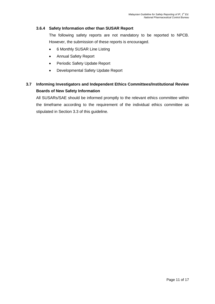#### **3.6.4 Safety Information other than SUSAR Report**

The following safety reports are not mandatory to be reported to NPCB. However, the submission of these reports is encouraged.

- 6 Monthly SUSAR Line Listing
- Annual Safety Report
- Periodic Safety Update Report
- Developmental Safety Update Report

#### **3.7 Informing Investigators and Independent Ethics Committees/Institutional Review Boards of New Safety Information**

All SUSARs/SAE should be informed promptly to the relevant ethics committee within the timeframe according to the requirement of the individual ethics committee as stipulated in Section 3.3 of this guideline.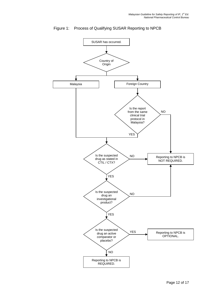

#### Figure 1: Process of Qualifying SUSAR Reporting to NPCB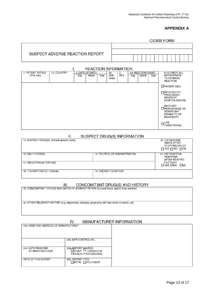#### **APPENDIX A**

**CIOMS FORM** 

| SUSPECT ADVERSE REACTION REPORT |  |  |  |  |  |  |  |  |
|---------------------------------|--|--|--|--|--|--|--|--|
|                                 |  |  |  |  |  |  |  |  |

#### **REACTION INFORMATION**

| <b>REACTION INFORMATION</b><br>ι.   |             |     |                           |      |                     |           |     |                             |      |                                                                                                              |
|-------------------------------------|-------------|-----|---------------------------|------|---------------------|-----------|-----|-----------------------------|------|--------------------------------------------------------------------------------------------------------------|
| 1. PATIENT INITALS<br>(First, last) | 1a. COUNTRY | Day | 2. DATE OF BIRTH<br>Month | Year | 2a.<br>AGE<br>Years | 3.<br>SEX | Day | 4-6 REACTION ONSET<br>Month | Year | 8-12 CHECK ALL<br><b>APPROPRIATE</b><br><b>TO ADVERSE</b><br><b>REACTOIN</b>                                 |
|                                     |             |     |                           |      |                     |           |     |                             |      | <b>OPATIENT DIED</b>                                                                                         |
|                                     |             |     |                           |      |                     |           |     |                             |      | $\Box$ INVOLVED OR<br><b>PROLONGED</b><br><b>INPATIENT</b><br><b>HOSPITALISATION</b>                         |
|                                     |             |     |                           |      |                     |           |     |                             |      | <b>INVOLVED</b><br><b>OPERSISTENCE OR</b><br><b>SIGNIFICANT</b><br><b>DISABILITY OR</b><br><b>INCAPACITY</b> |
|                                     |             |     |                           |      |                     |           |     |                             |      | — LIFE<br>THREATENING                                                                                        |

#### SUSPECT DRUG(S) INFORMATION

| 14. SUSPECT DRUG(S) (Include generic name) |                                | 20. DID REACION<br><b>ABATE AFTER</b><br>STOPPING DRUG?<br>$\Box$ YES $\Box$ NO $\Box$ NA |
|--------------------------------------------|--------------------------------|-------------------------------------------------------------------------------------------|
| 15. DAILY DOSE(S)                          | 16. ROUTE(S) OF ADMINISTRATION | 21. DID REACTION<br><b>REAPPEAR</b><br><b>AFTER REINTRO-</b>                              |
| 17. INDICATION(S) FOR USE                  |                                | DUCTION?<br>$\Box$ YES $\Box$ NO $\Box$ NA                                                |
| 18. THERAPY DATES (From/to)                | <b>19. THERAPY DURATION</b>    |                                                                                           |

 $\fbox{111.}\quad\quad \text{CONCOMITANT DRUG}(S)\text{ AND HISTORY}\quad\\ \text{22. CONCOMITANT DRUG}(S)\text{ AND DATES OF ADMINISTRATION (Exclude those used to treat reaction)}$ 

П.

23. OTHER RELEVANT HISTORY (e.g. diagnostics, allergies, pregnancy with last month of period, etc)

IV.

#### MANUFACTURER INFORMATION

| 24a. NAME AND ADDRESS OF MANUFACTURER |                                                                 |
|---------------------------------------|-----------------------------------------------------------------|
|                                       | 24b. MFR CONTROL NO.                                            |
| 24c. DATE RECEIVED<br>BY MANUFACTURER | 24d BEPORT SOURCE<br>STUDY L LITERATURE<br>LHEALTH PROFESSIONAL |
| DATE OF THIS REPORT                   | 25a. REPORT TYPE<br>$\Box$ INITIAL $\Box$ FOLLOWUP              |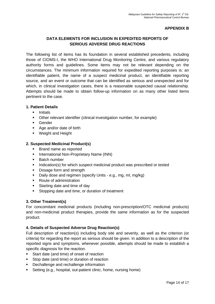#### **APPENDIX B**

#### **DATA ELEMENTS FOR INCLUSION IN EXPEDITED REPORTS OF SERIOUS ADVERSE DRUG REACTIONS**

The following list of items has its foundation in several established precedents, including those of CIOMS-I, the WHO International Drug Monitoring Centre, and various regulatory authority forms and guidelines. Some items may not be relevant depending on the circumstances. The minimum information required for expedited reporting purposes is: an identifiable patient, the name of a suspect medicinal product, an identifiable reporting source, and an event or outcome that can be identified as serious and unexpected and for which, in clinical investigation cases, there is a reasonable suspected causal relationship. Attempts should be made to obtain follow-up information on as many other listed items pertinent to the case.

#### **1. Patient Details**

- **Initials**
- Other relevant identifier (clinical investigation number, for example)
- **Gender**
- Age and/or date of birth
- **•** Weight and Height

#### **2. Suspected Medicinal Product(s)**

- **Brand name as reported**
- International Non-Proprietary Name (INN)
- **Batch number**
- Indication(s) for which suspect medicinal product was prescribed or tested
- Dosage form and strength
- Daily dose and regimen (specify Units e.g., mg, ml, mg/kg)
- Route of administration
- **Starting date and time of day**
- Stopping date and time, or duration of treatment

#### **3. Other Treatment(s)**

For concomitant medicinal products (including non-prescription/OTC medicinal products) and non-medicinal product therapies, provide the same information as for the suspected product.

#### **4. Details of Suspected Adverse Drug Reaction(s)**

Full description of reaction(s) including body site and severity, as well as the criterion (or criteria) for regarding the report as serious should be given. In addition to a description of the reported signs and symptoms, whenever possible, attempts should be made to establish a specific diagnosis for the reaction.

- Start date (and time) of onset of reaction
- **Stop date (and time) or duration of reaction**
- **•** Dechallenge and rechallenge information
- Setting (e.g., hospital, out-patient clinic, home, nursing home)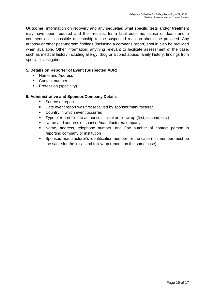**Outcome:** information on recovery and any sequelae; what specific tests and/or treatment may have been required and their results; for a fatal outcome, cause of death and a comment on its possible relationship to the suspected reaction should be provided. Any autopsy or other post-mortem findings (including a coroner's report) should also be provided when available. Other information: anything relevant to facilitate assessment of the case, such as medical history including allergy, drug or alcohol abuse; family history; findings from special investigations.

#### **5. Details on Reporter of Event (Suspected ADR)**

- Name and Address
- **Contact number**
- **•** Profession (specialty)

#### **6. Administrative and Sponsor/Company Details**

- **Source of report**
- Date event report was first received by sponsor/manufacturer
- **•** Country in which event occurred
- Type of report filed to authorities: initial or follow-up (first, second, etc.)
- Name and address of sponsor/manufacturer/company
- Name, address, telephone number, and Fax number of contact person in reporting company or institution
- Sponsor/ manufacturer's identification number for the case (this number must be the same for the initial and follow-up reports on the same case).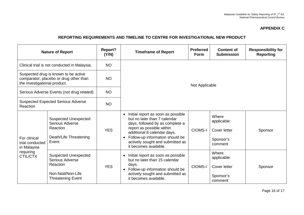#### **APPENDIX C**

#### **REPORTING REQUIREMENTS AND TIMELINE TO CENTRE FOR INVESTIGATIONAL NEW PRODUCT**

|                                                                                | <b>Nature of Report</b>                                                                                      | Report?<br>(Y/N)                                                                                                                                                                                                                                                                                          | <b>Timeframe of Report</b>                                                                                                                                                                | <b>Preferred</b><br>Form | <b>Content of</b><br><b>Submission</b>                       | <b>Responsibility for</b><br><b>Reporting</b> |  |  |  |  |  |
|--------------------------------------------------------------------------------|--------------------------------------------------------------------------------------------------------------|-----------------------------------------------------------------------------------------------------------------------------------------------------------------------------------------------------------------------------------------------------------------------------------------------------------|-------------------------------------------------------------------------------------------------------------------------------------------------------------------------------------------|--------------------------|--------------------------------------------------------------|-----------------------------------------------|--|--|--|--|--|
|                                                                                | Clinical trial is not conducted in Malaysia.                                                                 | <b>NO</b>                                                                                                                                                                                                                                                                                                 |                                                                                                                                                                                           |                          |                                                              |                                               |  |  |  |  |  |
| the investigational product.                                                   | Suspected drug is known to be active<br>comparator, placebo or drug other than                               | <b>NO</b>                                                                                                                                                                                                                                                                                                 | Not Applicable                                                                                                                                                                            |                          |                                                              |                                               |  |  |  |  |  |
| Serious Adverse Events (not drug related)                                      |                                                                                                              | <b>NO</b>                                                                                                                                                                                                                                                                                                 |                                                                                                                                                                                           |                          |                                                              |                                               |  |  |  |  |  |
| Reaction                                                                       | <b>Suspected Expected Serious Adverse</b>                                                                    | <b>NO</b>                                                                                                                                                                                                                                                                                                 |                                                                                                                                                                                           |                          |                                                              |                                               |  |  |  |  |  |
| For clinical<br>trial conducted<br>in Malaysia<br>requiring<br><b>CTIL/CTX</b> | <b>Suspected Unexpected</b><br>Serious Adverse<br>Reaction<br>Death/Life Threatening<br>Event                | Initial report as soon as possible<br>$\bullet$<br>but no later than 7 calendar<br>days, followed by as complete a<br>report as possible within<br><b>YES</b><br>additional 8 calendar days.<br>Follow-up information should be<br>$\bullet$<br>actively sought and submitted as<br>it becomes available. |                                                                                                                                                                                           | <b>CIOMS-I</b>           | Where<br>applicable:<br>Cover letter<br>Sponsor's<br>comment | Sponsor                                       |  |  |  |  |  |
|                                                                                | <b>Suspected Unexpected</b><br>Serious Adverse<br>Reaction<br>Non-fatal/Non-Life<br><b>Threatening Event</b> | <b>YES</b>                                                                                                                                                                                                                                                                                                | Initial report as soon as possible<br>$\bullet$<br>but no later than 15 calendar<br>days.<br>Follow-up information should be<br>actively sought and submitted as<br>it becomes available. | <b>CIOMS-I</b>           | Where<br>applicable:<br>Cover letter<br>Sponsor's<br>comment | Sponsor                                       |  |  |  |  |  |